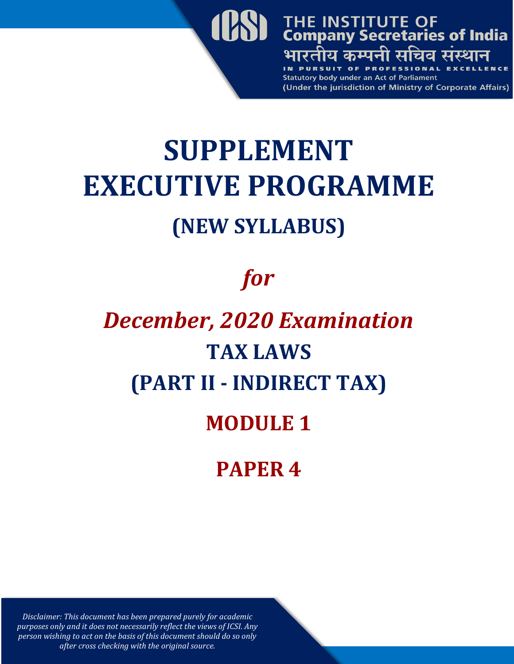

## **SUPPLEMENT EXECUTIVE PROGRAMME (NEW SYLLABUS)**

## *for*

# *December, 2020 Examination* **TAX LAWS (PART II - INDIRECT TAX) MODULE 1 PAPER 4**

*Disclaimer: This document has been prepared purely for academic purposes only and it does not necessarily reflect the views of ICSI. Any person wishing to act on the basis of this document should do so only after cross checking with the original source.*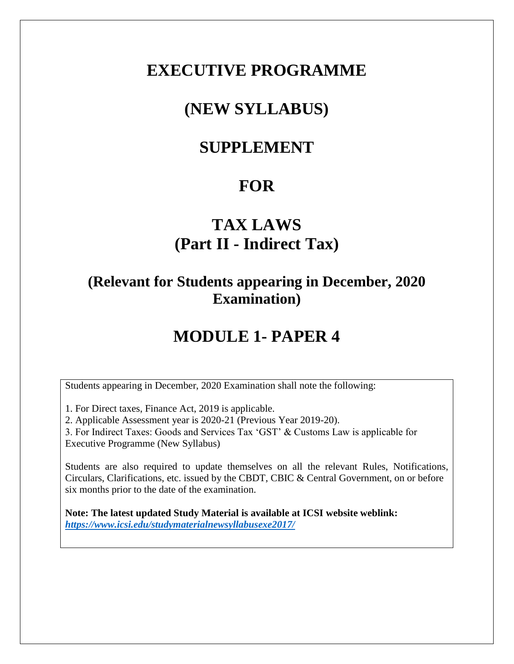#### **EXECUTIVE PROGRAMME**

### **(NEW SYLLABUS)**

#### **SUPPLEMENT**

#### **FOR**

### **TAX LAWS (Part II - Indirect Tax)**

#### **(Relevant for Students appearing in December, 2020 Examination)**

#### **MODULE 1- PAPER 4**

Students appearing in December, 2020 Examination shall note the following:

1. For Direct taxes, Finance Act, 2019 is applicable.

2. Applicable Assessment year is 2020-21 (Previous Year 2019-20).

3. For Indirect Taxes: Goods and Services Tax 'GST' & Customs Law is applicable for Executive Programme (New Syllabus)

Students are also required to update themselves on all the relevant Rules, Notifications, Circulars, Clarifications, etc. issued by the CBDT, CBIC & Central Government, on or before six months prior to the date of the examination.

**Note: The latest updated Study Material is available at ICSI website weblink:** *<https://www.icsi.edu/studymaterialnewsyllabusexe2017/>*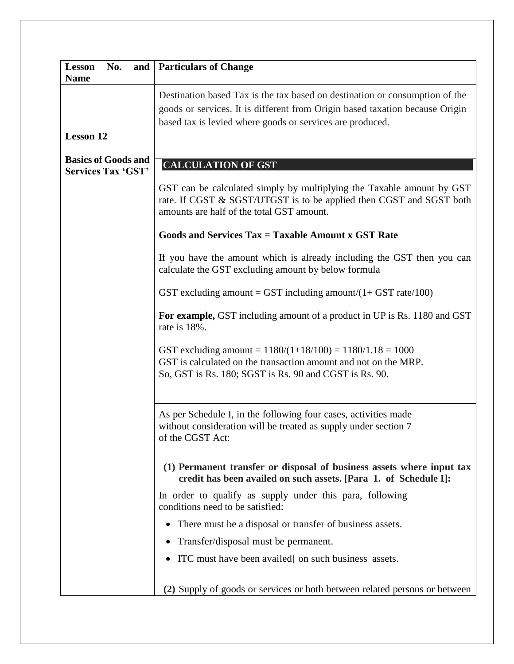| No.<br><b>Lesson</b>                                    | and   Particulars of Change                                                                                                                                                                                              |
|---------------------------------------------------------|--------------------------------------------------------------------------------------------------------------------------------------------------------------------------------------------------------------------------|
| <b>Name</b>                                             | Destination based Tax is the tax based on destination or consumption of the<br>goods or services. It is different from Origin based taxation because Origin<br>based tax is levied where goods or services are produced. |
| <b>Lesson 12</b>                                        |                                                                                                                                                                                                                          |
| <b>Basics of Goods and</b><br><b>Services Tax 'GST'</b> | <b>CALCULATION OF GST</b>                                                                                                                                                                                                |
|                                                         | GST can be calculated simply by multiplying the Taxable amount by GST<br>rate. If CGST & SGST/UTGST is to be applied then CGST and SGST both<br>amounts are half of the total GST amount.                                |
|                                                         | Goods and Services Tax = Taxable Amount x GST Rate                                                                                                                                                                       |
|                                                         | If you have the amount which is already including the GST then you can<br>calculate the GST excluding amount by below formula                                                                                            |
|                                                         | GST excluding amount = GST including amount/ $(1 + GST$ rate/100)                                                                                                                                                        |
|                                                         | For example, GST including amount of a product in UP is Rs. 1180 and GST<br>rate is 18%.                                                                                                                                 |
|                                                         | GST excluding amount = $1180/(1+18/100) = 1180/1.18 = 1000$<br>GST is calculated on the transaction amount and not on the MRP.<br>So, GST is Rs. 180; SGST is Rs. 90 and CGST is Rs. 90.                                 |
|                                                         | As per Schedule I, in the following four cases, activities made<br>without consideration will be treated as supply under section 7<br>of the CGST Act:                                                                   |
|                                                         | (1) Permanent transfer or disposal of business assets where input tax<br>credit has been availed on such assets. [Para 1. of Schedule I]:                                                                                |
|                                                         | In order to qualify as supply under this para, following<br>conditions need to be satisfied:                                                                                                                             |
|                                                         | There must be a disposal or transfer of business assets.<br>$\bullet$                                                                                                                                                    |
|                                                         | Transfer/disposal must be permanent.                                                                                                                                                                                     |
|                                                         | ITC must have been availed[ on such business assets.                                                                                                                                                                     |
|                                                         | (2) Supply of goods or services or both between related persons or between                                                                                                                                               |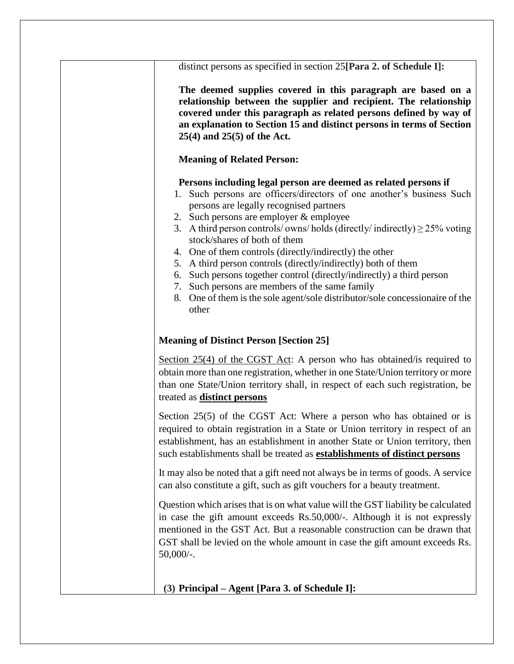| distinct persons as specified in section 25 [Para 2. of Schedule I]:                                                                                                                                                                                                                                                                                                                                                                                                                                                                                                                                                                                                                                        |
|-------------------------------------------------------------------------------------------------------------------------------------------------------------------------------------------------------------------------------------------------------------------------------------------------------------------------------------------------------------------------------------------------------------------------------------------------------------------------------------------------------------------------------------------------------------------------------------------------------------------------------------------------------------------------------------------------------------|
| The deemed supplies covered in this paragraph are based on a<br>relationship between the supplier and recipient. The relationship<br>covered under this paragraph as related persons defined by way of<br>an explanation to Section 15 and distinct persons in terms of Section<br>$25(4)$ and $25(5)$ of the Act.                                                                                                                                                                                                                                                                                                                                                                                          |
| <b>Meaning of Related Person:</b>                                                                                                                                                                                                                                                                                                                                                                                                                                                                                                                                                                                                                                                                           |
| Persons including legal person are deemed as related persons if<br>1. Such persons are officers/directors of one another's business Such<br>persons are legally recognised partners<br>2. Such persons are employer & employee<br>A third person controls/ owns/ holds (directly/ indirectly) $\geq$ 25% voting<br>3.<br>stock/shares of both of them<br>4. One of them controls (directly/indirectly) the other<br>5. A third person controls (directly/indirectly) both of them<br>Such persons together control (directly/indirectly) a third person<br>6.<br>7. Such persons are members of the same family<br>One of them is the sole agent/sole distributor/sole concessionaire of the<br>8.<br>other |
| <b>Meaning of Distinct Person [Section 25]</b>                                                                                                                                                                                                                                                                                                                                                                                                                                                                                                                                                                                                                                                              |
| Section 25(4) of the CGST Act: A person who has obtained/is required to<br>obtain more than one registration, whether in one State/Union territory or more<br>than one State/Union territory shall, in respect of each such registration, be<br>treated as <b>distinct</b> persons                                                                                                                                                                                                                                                                                                                                                                                                                          |
| Section 25(5) of the CGST Act: Where a person who has obtained or is<br>required to obtain registration in a State or Union territory in respect of an<br>establishment, has an establishment in another State or Union territory, then<br>such establishments shall be treated as <b>establishments of distinct persons</b>                                                                                                                                                                                                                                                                                                                                                                                |
| It may also be noted that a gift need not always be in terms of goods. A service<br>can also constitute a gift, such as gift vouchers for a beauty treatment.                                                                                                                                                                                                                                                                                                                                                                                                                                                                                                                                               |
| Question which arises that is on what value will the GST liability be calculated<br>in case the gift amount exceeds Rs.50,000/-. Although it is not expressly<br>mentioned in the GST Act. But a reasonable construction can be drawn that<br>GST shall be levied on the whole amount in case the gift amount exceeds Rs.<br>$50,000/$ -.                                                                                                                                                                                                                                                                                                                                                                   |
| $(3)$ Principal – Agent [Para 3. of Schedule I]:                                                                                                                                                                                                                                                                                                                                                                                                                                                                                                                                                                                                                                                            |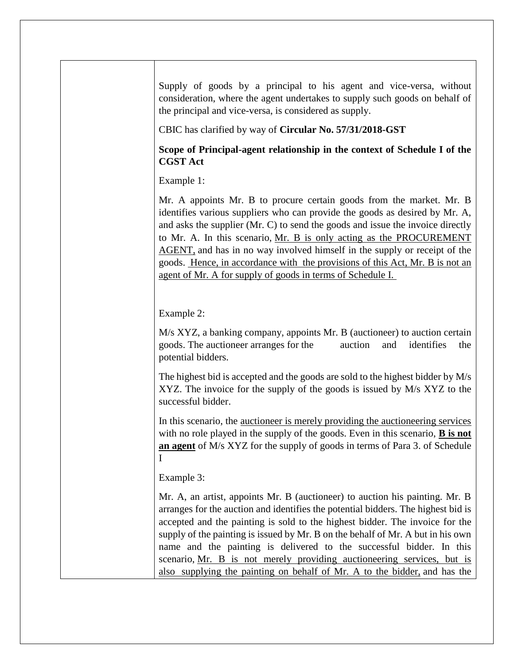Supply of goods by a principal to his agent and vice-versa, without consideration, where the agent undertakes to supply such goods on behalf of the principal and vice-versa, is considered as supply.

CBIC has clarified by way of **Circular No. 57/31/2018-GST**

#### **Scope of Principal-agent relationship in the context of Schedule I of the CGST Act**

Example 1:

Mr. A appoints Mr. B to procure certain goods from the market. Mr. B identifies various suppliers who can provide the goods as desired by Mr. A, and asks the supplier (Mr. C) to send the goods and issue the invoice directly to Mr. A. In this scenario, Mr. B is only acting as the PROCUREMENT AGENT, and has in no way involved himself in the supply or receipt of the goods. Hence, in accordance with the provisions of this Act, Mr. B is not an agent of Mr. A for supply of goods in terms of Schedule I.

Example 2:

M/s XYZ, a banking company, appoints Mr. B (auctioneer) to auction certain goods. The auctioneer arranges for the auction and identifies the potential bidders.

The highest bid is accepted and the goods are sold to the highest bidder by M/s XYZ. The invoice for the supply of the goods is issued by M/s XYZ to the successful bidder.

In this scenario, the auctioneer is merely providing the auctioneering services with no role played in the supply of the goods. Even in this scenario, **B is not an agent** of M/s XYZ for the supply of goods in terms of Para 3. of Schedule I

Example 3:

Mr. A, an artist, appoints Mr. B (auctioneer) to auction his painting. Mr. B arranges for the auction and identifies the potential bidders. The highest bid is accepted and the painting is sold to the highest bidder. The invoice for the supply of the painting is issued by Mr. B on the behalf of Mr. A but in his own name and the painting is delivered to the successful bidder. In this scenario, Mr. B is not merely providing auctioneering services, but is also supplying the painting on behalf of Mr. A to the bidder, and has the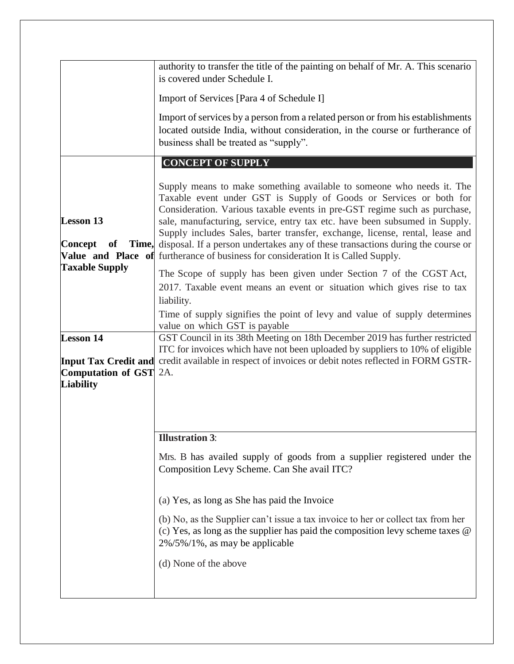|                                                                   | authority to transfer the title of the painting on behalf of Mr. A. This scenario<br>is covered under Schedule I.                                                                                                                                                                                                                                                                                                                                                                                                                                                    |
|-------------------------------------------------------------------|----------------------------------------------------------------------------------------------------------------------------------------------------------------------------------------------------------------------------------------------------------------------------------------------------------------------------------------------------------------------------------------------------------------------------------------------------------------------------------------------------------------------------------------------------------------------|
|                                                                   | Import of Services [Para 4 of Schedule I]                                                                                                                                                                                                                                                                                                                                                                                                                                                                                                                            |
|                                                                   | Import of services by a person from a related person or from his establishments<br>located outside India, without consideration, in the course or furtherance of<br>business shall be treated as "supply".                                                                                                                                                                                                                                                                                                                                                           |
|                                                                   | <b>CONCEPT OF SUPPLY</b>                                                                                                                                                                                                                                                                                                                                                                                                                                                                                                                                             |
| <b>Lesson 13</b><br>Concept<br>of                                 | Supply means to make something available to someone who needs it. The<br>Taxable event under GST is Supply of Goods or Services or both for<br>Consideration. Various taxable events in pre-GST regime such as purchase,<br>sale, manufacturing, service, entry tax etc. have been subsumed in Supply.<br>Supply includes Sales, barter transfer, exchange, license, rental, lease and<br>Time, disposal. If a person undertakes any of these transactions during the course or<br>Value and Place of furtherance of business for consideration It is Called Supply. |
| <b>Taxable Supply</b>                                             |                                                                                                                                                                                                                                                                                                                                                                                                                                                                                                                                                                      |
|                                                                   | The Scope of supply has been given under Section 7 of the CGST Act,<br>2017. Taxable event means an event or situation which gives rise to tax<br>liability.                                                                                                                                                                                                                                                                                                                                                                                                         |
|                                                                   | Time of supply signifies the point of levy and value of supply determines<br>value on which GST is payable                                                                                                                                                                                                                                                                                                                                                                                                                                                           |
| <b>Lesson 14</b><br><b>Computation of GST</b><br><b>Liability</b> | GST Council in its 38th Meeting on 18th December 2019 has further restricted<br>ITC for invoices which have not been uploaded by suppliers to 10% of eligible<br>Input Tax Credit and credit available in respect of invoices or debit notes reflected in FORM GSTR-<br>2A.                                                                                                                                                                                                                                                                                          |
|                                                                   | <b>Illustration 3:</b>                                                                                                                                                                                                                                                                                                                                                                                                                                                                                                                                               |
|                                                                   | Mrs. B has availed supply of goods from a supplier registered under the<br>Composition Levy Scheme. Can She avail ITC?                                                                                                                                                                                                                                                                                                                                                                                                                                               |
|                                                                   | (a) Yes, as long as She has paid the Invoice                                                                                                                                                                                                                                                                                                                                                                                                                                                                                                                         |
|                                                                   | (b) No, as the Supplier can't issue a tax invoice to her or collect tax from her<br>(c) Yes, as long as the supplier has paid the composition levy scheme taxes $\omega$<br>$2\%/5\%/1\%$ , as may be applicable                                                                                                                                                                                                                                                                                                                                                     |
|                                                                   | (d) None of the above                                                                                                                                                                                                                                                                                                                                                                                                                                                                                                                                                |
|                                                                   |                                                                                                                                                                                                                                                                                                                                                                                                                                                                                                                                                                      |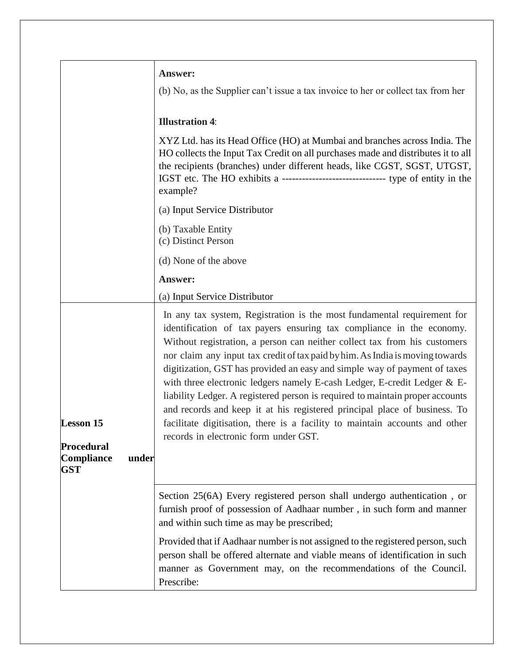|                                                                                               | <b>Answer:</b>                                                                                                                                                                                                                                                                                                                                                                                                                                                                                                                                                                                                                                                                                                                                               |
|-----------------------------------------------------------------------------------------------|--------------------------------------------------------------------------------------------------------------------------------------------------------------------------------------------------------------------------------------------------------------------------------------------------------------------------------------------------------------------------------------------------------------------------------------------------------------------------------------------------------------------------------------------------------------------------------------------------------------------------------------------------------------------------------------------------------------------------------------------------------------|
|                                                                                               | (b) No, as the Supplier can't issue a tax invoice to her or collect tax from her                                                                                                                                                                                                                                                                                                                                                                                                                                                                                                                                                                                                                                                                             |
|                                                                                               | <b>Illustration 4:</b>                                                                                                                                                                                                                                                                                                                                                                                                                                                                                                                                                                                                                                                                                                                                       |
|                                                                                               | XYZ Ltd. has its Head Office (HO) at Mumbai and branches across India. The<br>HO collects the Input Tax Credit on all purchases made and distributes it to all<br>the recipients (branches) under different heads, like CGST, SGST, UTGST,<br>example?                                                                                                                                                                                                                                                                                                                                                                                                                                                                                                       |
|                                                                                               | (a) Input Service Distributor                                                                                                                                                                                                                                                                                                                                                                                                                                                                                                                                                                                                                                                                                                                                |
|                                                                                               | (b) Taxable Entity<br>(c) Distinct Person                                                                                                                                                                                                                                                                                                                                                                                                                                                                                                                                                                                                                                                                                                                    |
|                                                                                               | (d) None of the above                                                                                                                                                                                                                                                                                                                                                                                                                                                                                                                                                                                                                                                                                                                                        |
|                                                                                               | <b>Answer:</b>                                                                                                                                                                                                                                                                                                                                                                                                                                                                                                                                                                                                                                                                                                                                               |
|                                                                                               | (a) Input Service Distributor                                                                                                                                                                                                                                                                                                                                                                                                                                                                                                                                                                                                                                                                                                                                |
| <b>Lesson 15</b><br><b>Procedural</b><br>Compliance<br>under<br>$\operatorname{\mathbf{GST}}$ | In any tax system, Registration is the most fundamental requirement for<br>identification of tax payers ensuring tax compliance in the economy.<br>Without registration, a person can neither collect tax from his customers<br>nor claim any input tax credit of tax paid by him. As India is moving towards<br>digitization, GST has provided an easy and simple way of payment of taxes<br>with three electronic ledgers namely E-cash Ledger, E-credit Ledger & E-<br>liability Ledger. A registered person is required to maintain proper accounts<br>and records and keep it at his registered principal place of business. To<br>facilitate digitisation, there is a facility to maintain accounts and other<br>records in electronic form under GST. |
|                                                                                               | Section 25(6A) Every registered person shall undergo authentication, or<br>furnish proof of possession of Aadhaar number, in such form and manner<br>and within such time as may be prescribed;                                                                                                                                                                                                                                                                                                                                                                                                                                                                                                                                                              |
|                                                                                               | Provided that if Aadhaar number is not assigned to the registered person, such<br>person shall be offered alternate and viable means of identification in such<br>manner as Government may, on the recommendations of the Council.<br>Prescribe:                                                                                                                                                                                                                                                                                                                                                                                                                                                                                                             |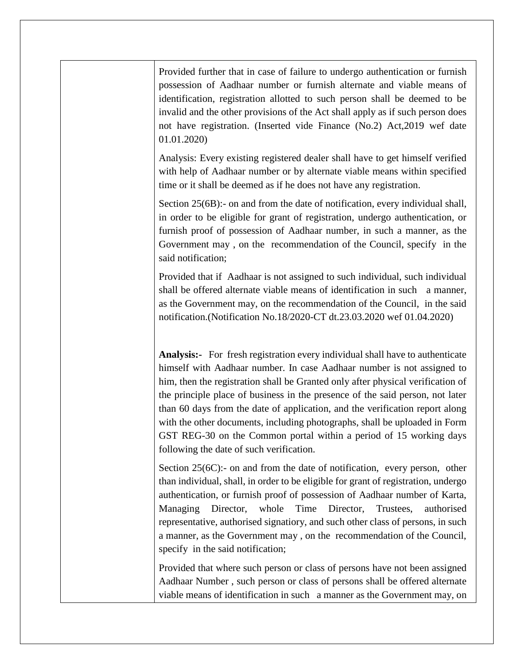Provided further that in case of failure to undergo authentication or furnish possession of Aadhaar number or furnish alternate and viable means of identification, registration allotted to such person shall be deemed to be invalid and the other provisions of the Act shall apply as if such person does not have registration. (Inserted vide Finance (No.2) Act,2019 wef date 01.01.2020)

Analysis: Every existing registered dealer shall have to get himself verified with help of Aadhaar number or by alternate viable means within specified time or it shall be deemed as if he does not have any registration.

Section 25(6B):- on and from the date of notification, every individual shall, in order to be eligible for grant of registration, undergo authentication, or furnish proof of possession of Aadhaar number, in such a manner, as the Government may , on the recommendation of the Council, specify in the said notification;

Provided that if Aadhaar is not assigned to such individual, such individual shall be offered alternate viable means of identification in such a manner, as the Government may, on the recommendation of the Council, in the said notification.(Notification No.18/2020-CT dt.23.03.2020 wef 01.04.2020)

**Analysis:-** For fresh registration every individual shall have to authenticate himself with Aadhaar number. In case Aadhaar number is not assigned to him, then the registration shall be Granted only after physical verification of the principle place of business in the presence of the said person, not later than 60 days from the date of application, and the verification report along with the other documents, including photographs, shall be uploaded in Form GST REG-30 on the Common portal within a period of 15 working days following the date of such verification.

Section 25(6C):- on and from the date of notification, every person, other than individual, shall, in order to be eligible for grant of registration, undergo authentication, or furnish proof of possession of Aadhaar number of Karta, Managing Director, whole Time Director, Trustees, authorised representative, authorised signatiory, and such other class of persons, in such a manner, as the Government may , on the recommendation of the Council, specify in the said notification;

Provided that where such person or class of persons have not been assigned Aadhaar Number , such person or class of persons shall be offered alternate viable means of identification in such a manner as the Government may, on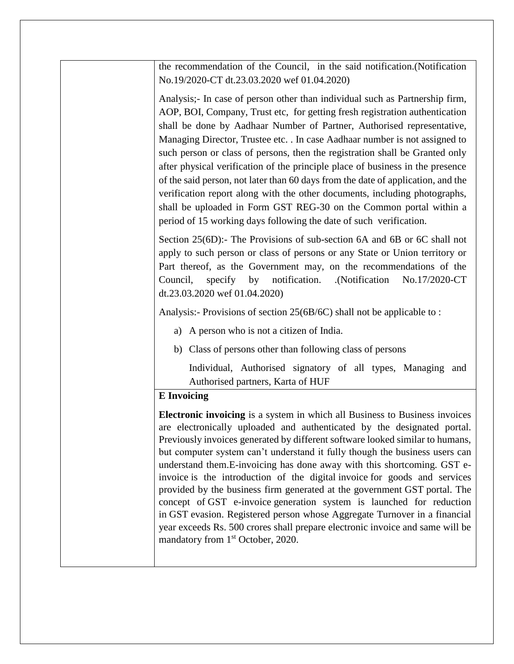the recommendation of the Council, in the said notification.(Notification No.19/2020-CT dt.23.03.2020 wef 01.04.2020)

Analysis;- In case of person other than individual such as Partnership firm, AOP, BOI, Company, Trust etc, for getting fresh registration authentication shall be done by Aadhaar Number of Partner, Authorised representative, Managing Director, Trustee etc. . In case Aadhaar number is not assigned to such person or class of persons, then the registration shall be Granted only after physical verification of the principle place of business in the presence of the said person, not later than 60 days from the date of application, and the verification report along with the other documents, including photographs, shall be uploaded in Form GST REG-30 on the Common portal within a period of 15 working days following the date of such verification.

Section 25(6D):- The Provisions of sub-section 6A and 6B or 6C shall not apply to such person or class of persons or any State or Union territory or Part thereof, as the Government may, on the recommendations of the Council, specify by notification. .(Notification No.17/2020-CT dt.23.03.2020 wef 01.04.2020)

Analysis:- Provisions of section 25(6B/6C) shall not be applicable to :

- a) A person who is not a citizen of India.
- b) Class of persons other than following class of persons

Individual, Authorised signatory of all types, Managing and Authorised partners, Karta of HUF

#### **E Invoicing**

**Electronic invoicing** is a system in which all Business to Business invoices are electronically uploaded and authenticated by the designated portal. Previously invoices generated by different software looked similar to humans, but computer system can't understand it fully though the business users can understand them.E-invoicing has done away with this shortcoming. GST einvoice is the introduction of the digital invoice for goods and services provided by the business firm generated at the government GST portal. The concept of GST e-invoice generation system is launched for reduction in GST evasion. Registered person whose Aggregate Turnover in a financial year exceeds Rs. 500 crores shall prepare electronic invoice and same will be mandatory from 1<sup>st</sup> October, 2020.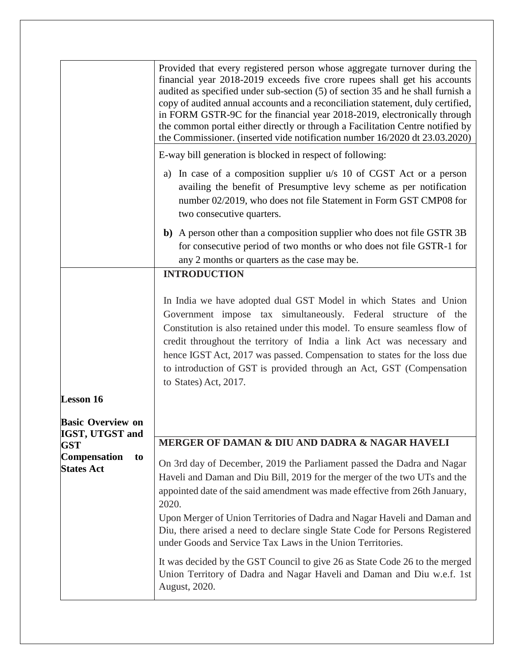|                                                | Provided that every registered person whose aggregate turnover during the<br>financial year 2018-2019 exceeds five crore rupees shall get his accounts<br>audited as specified under sub-section (5) of section 35 and he shall furnish a<br>copy of audited annual accounts and a reconciliation statement, duly certified,<br>in FORM GSTR-9C for the financial year 2018-2019, electronically through<br>the common portal either directly or through a Facilitation Centre notified by<br>the Commissioner. (inserted vide notification number 16/2020 dt 23.03.2020) |
|------------------------------------------------|---------------------------------------------------------------------------------------------------------------------------------------------------------------------------------------------------------------------------------------------------------------------------------------------------------------------------------------------------------------------------------------------------------------------------------------------------------------------------------------------------------------------------------------------------------------------------|
|                                                | E-way bill generation is blocked in respect of following:                                                                                                                                                                                                                                                                                                                                                                                                                                                                                                                 |
|                                                | In case of a composition supplier u/s 10 of CGST Act or a person<br>a)<br>availing the benefit of Presumptive levy scheme as per notification<br>number 02/2019, who does not file Statement in Form GST CMP08 for<br>two consecutive quarters.                                                                                                                                                                                                                                                                                                                           |
|                                                | b) A person other than a composition supplier who does not file GSTR 3B<br>for consecutive period of two months or who does not file GSTR-1 for<br>any 2 months or quarters as the case may be.                                                                                                                                                                                                                                                                                                                                                                           |
|                                                | <b>INTRODUCTION</b>                                                                                                                                                                                                                                                                                                                                                                                                                                                                                                                                                       |
| <b>Lesson 16</b>                               | In India we have adopted dual GST Model in which States and Union<br>Government impose tax simultaneously. Federal structure of the<br>Constitution is also retained under this model. To ensure seamless flow of<br>credit throughout the territory of India a link Act was necessary and<br>hence IGST Act, 2017 was passed. Compensation to states for the loss due<br>to introduction of GST is provided through an Act, GST (Compensation<br>to States) Act, 2017.                                                                                                   |
| <b>Basic Overview on</b><br>IGST, UTGST and    |                                                                                                                                                                                                                                                                                                                                                                                                                                                                                                                                                                           |
| <b>GST</b>                                     | MERGER OF DAMAN & DIU AND DADRA & NAGAR HAVELI                                                                                                                                                                                                                                                                                                                                                                                                                                                                                                                            |
| <b>Compensation</b><br>to<br><b>States Act</b> | On 3rd day of December, 2019 the Parliament passed the Dadra and Nagar<br>Haveli and Daman and Diu Bill, 2019 for the merger of the two UTs and the<br>appointed date of the said amendment was made effective from 26th January,<br>2020.<br>Upon Merger of Union Territories of Dadra and Nagar Haveli and Daman and<br>Diu, there arised a need to declare single State Code for Persons Registered                                                                                                                                                                    |
|                                                | under Goods and Service Tax Laws in the Union Territories.                                                                                                                                                                                                                                                                                                                                                                                                                                                                                                                |
|                                                | It was decided by the GST Council to give 26 as State Code 26 to the merged<br>Union Territory of Dadra and Nagar Haveli and Daman and Diu w.e.f. 1st<br>August, 2020.                                                                                                                                                                                                                                                                                                                                                                                                    |